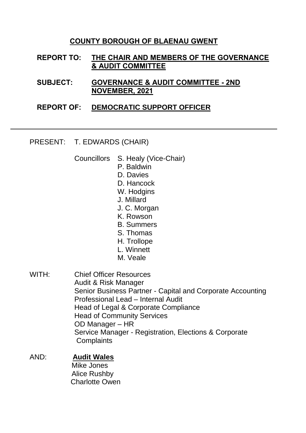## **COUNTY BOROUGH OF BLAENAU GWENT**

- **REPORT TO: THE CHAIR AND MEMBERS OF THE GOVERNANCE & AUDIT COMMITTEE**
- **SUBJECT: GOVERNANCE & AUDIT COMMITTEE - 2ND NOVEMBER, 2021**
- **REPORT OF: DEMOCRATIC SUPPORT OFFICER**

PRESENT: T. EDWARDS (CHAIR)

- Councillors S. Healy (Vice-Chair)
	- P. Baldwin
	- D. Davies
	- D. Hancock
	- W. Hodgins
	- J. Millard
	- J. C. Morgan
	- K. Rowson
	- B. Summers
	- S. Thomas
	- H. Trollope
	- L. Winnett
	- M. Veale
- WITH: Chief Officer Resources Audit & Risk Manager Senior Business Partner - Capital and Corporate Accounting Professional Lead – Internal Audit Head of Legal & Corporate Compliance Head of Community Services OD Manager – HR Service Manager - Registration, Elections & Corporate **Complaints**

## AND: **Audit Wales**

 Mike Jones Alice Rushby Charlotte Owen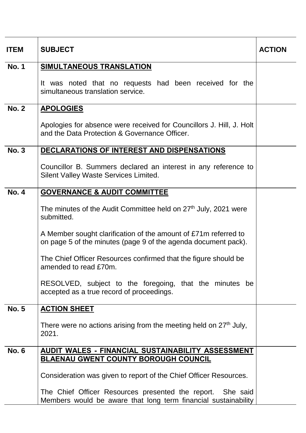| <b>ITEM</b>  | <b>SUBJECT</b>                                                                                                                    |  |  |  |  |  |
|--------------|-----------------------------------------------------------------------------------------------------------------------------------|--|--|--|--|--|
| <b>No. 1</b> | SIMULTANEOUS TRANSLATION                                                                                                          |  |  |  |  |  |
|              | It was noted that no requests had been received for the<br>simultaneous translation service.                                      |  |  |  |  |  |
| <b>No. 2</b> | <b>APOLOGIES</b>                                                                                                                  |  |  |  |  |  |
|              | Apologies for absence were received for Councillors J. Hill, J. Holt<br>and the Data Protection & Governance Officer.             |  |  |  |  |  |
| <b>No. 3</b> | DECLARATIONS OF INTEREST AND DISPENSATIONS                                                                                        |  |  |  |  |  |
|              | Councillor B. Summers declared an interest in any reference to<br>Silent Valley Waste Services Limited.                           |  |  |  |  |  |
| <b>No. 4</b> | <b>GOVERNANCE &amp; AUDIT COMMITTEE</b>                                                                                           |  |  |  |  |  |
|              | The minutes of the Audit Committee held on 27 <sup>th</sup> July, 2021 were<br>submitted.                                         |  |  |  |  |  |
|              | A Member sought clarification of the amount of £71m referred to<br>on page 5 of the minutes (page 9 of the agenda document pack). |  |  |  |  |  |
|              | The Chief Officer Resources confirmed that the figure should be<br>amended to read £70m.                                          |  |  |  |  |  |
|              | RESOLVED, subject to the foregoing, that the minutes be<br>accepted as a true record of proceedings.                              |  |  |  |  |  |
| <b>No. 5</b> | <b>ACTION SHEET</b>                                                                                                               |  |  |  |  |  |
|              | There were no actions arising from the meeting held on 27 <sup>th</sup> July,<br>2021.                                            |  |  |  |  |  |
| <b>No. 6</b> | AUDIT WALES - FINANCIAL SUSTAINABILITY ASSESSMENT<br><b>BLAENAU GWENT COUNTY BOROUGH COUNCIL</b>                                  |  |  |  |  |  |
|              | Consideration was given to report of the Chief Officer Resources.                                                                 |  |  |  |  |  |
|              | The Chief Officer Resources presented the report. She said<br>Members would be aware that long term financial sustainability      |  |  |  |  |  |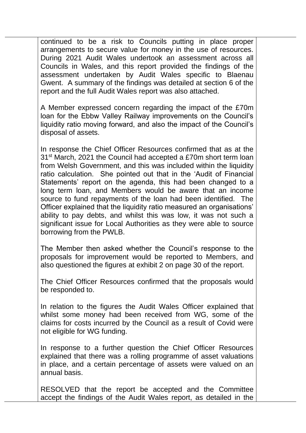continued to be a risk to Councils putting in place proper arrangements to secure value for money in the use of resources. During 2021 Audit Wales undertook an assessment across all Councils in Wales, and this report provided the findings of the assessment undertaken by Audit Wales specific to Blaenau Gwent. A summary of the findings was detailed at section 6 of the report and the full Audit Wales report was also attached.

A Member expressed concern regarding the impact of the £70m loan for the Ebbw Valley Railway improvements on the Council's liquidity ratio moving forward, and also the impact of the Council's disposal of assets.

In response the Chief Officer Resources confirmed that as at the 31st March, 2021 the Council had accepted a £70m short term loan from Welsh Government, and this was included within the liquidity ratio calculation. She pointed out that in the 'Audit of Financial Statements' report on the agenda, this had been changed to a long term loan, and Members would be aware that an income source to fund repayments of the loan had been identified. The Officer explained that the liquidity ratio measured an organisations' ability to pay debts, and whilst this was low, it was not such a significant issue for Local Authorities as they were able to source borrowing from the PWLB.

The Member then asked whether the Council's response to the proposals for improvement would be reported to Members, and also questioned the figures at exhibit 2 on page 30 of the report.

The Chief Officer Resources confirmed that the proposals would be responded to.

In relation to the figures the Audit Wales Officer explained that whilst some money had been received from WG, some of the claims for costs incurred by the Council as a result of Covid were not eligible for WG funding.

In response to a further question the Chief Officer Resources explained that there was a rolling programme of asset valuations in place, and a certain percentage of assets were valued on an annual basis.

RESOLVED that the report be accepted and the Committee accept the findings of the Audit Wales report, as detailed in the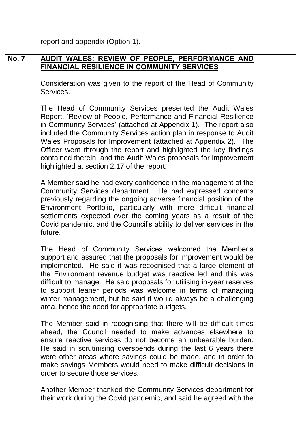|              | report and appendix (Option 1).                                                                                                                                                                                                                                                                                                                                                                                                                                                                                            |  |  |  |  |
|--------------|----------------------------------------------------------------------------------------------------------------------------------------------------------------------------------------------------------------------------------------------------------------------------------------------------------------------------------------------------------------------------------------------------------------------------------------------------------------------------------------------------------------------------|--|--|--|--|
| <b>No. 7</b> | AUDIT WALES: REVIEW OF PEOPLE, PERFORMANCE AND<br><b>FINANCIAL RESILIENCE IN COMMUNITY SERVICES</b>                                                                                                                                                                                                                                                                                                                                                                                                                        |  |  |  |  |
|              | Consideration was given to the report of the Head of Community<br>Services.                                                                                                                                                                                                                                                                                                                                                                                                                                                |  |  |  |  |
|              | The Head of Community Services presented the Audit Wales<br>Report, 'Review of People, Performance and Financial Resilience<br>in Community Services' (attached at Appendix 1). The report also<br>included the Community Services action plan in response to Audit<br>Wales Proposals for Improvement (attached at Appendix 2). The<br>Officer went through the report and highlighted the key findings<br>contained therein, and the Audit Wales proposals for improvement<br>highlighted at section 2.17 of the report. |  |  |  |  |
|              | A Member said he had every confidence in the management of the<br>Community Services department. He had expressed concerns<br>previously regarding the ongoing adverse financial position of the<br>Environment Portfolio, particularly with more difficult financial<br>settlements expected over the coming years as a result of the<br>Covid pandemic, and the Council's ability to deliver services in the<br>future.                                                                                                  |  |  |  |  |
|              | The Head of Community Services welcomed the Member's<br>support and assured that the proposals for improvement would be<br>implemented. He said it was recognised that a large element of<br>the Environment revenue budget was reactive led and this was<br>difficult to manage. He said proposals for utilising in-year reserves<br>to support leaner periods was welcome in terms of managing<br>winter management, but he said it would always be a challenging<br>area, hence the need for appropriate budgets.       |  |  |  |  |
|              | The Member said in recognising that there will be difficult times<br>ahead, the Council needed to make advances elsewhere to<br>ensure reactive services do not become an unbearable burden.<br>He said in scrutinising overspends during the last 6 years there<br>were other areas where savings could be made, and in order to<br>make savings Members would need to make difficult decisions in<br>order to secure those services.                                                                                     |  |  |  |  |
|              | Another Member thanked the Community Services department for<br>their work during the Covid pandemic, and said he agreed with the                                                                                                                                                                                                                                                                                                                                                                                          |  |  |  |  |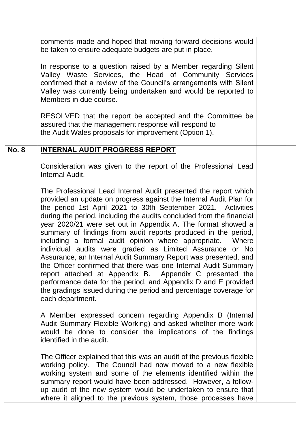|              | comments made and hoped that moving forward decisions would<br>be taken to ensure adequate budgets are put in place.                                                                                                                                                                                                                                                                                                                                                                                                                                                                                                                                                                                                                                                                                                                                                                                   |  |  |  |  |  |
|--------------|--------------------------------------------------------------------------------------------------------------------------------------------------------------------------------------------------------------------------------------------------------------------------------------------------------------------------------------------------------------------------------------------------------------------------------------------------------------------------------------------------------------------------------------------------------------------------------------------------------------------------------------------------------------------------------------------------------------------------------------------------------------------------------------------------------------------------------------------------------------------------------------------------------|--|--|--|--|--|
|              | In response to a question raised by a Member regarding Silent<br>Valley Waste Services, the Head of Community Services<br>confirmed that a review of the Council's arrangements with Silent<br>Valley was currently being undertaken and would be reported to<br>Members in due course.                                                                                                                                                                                                                                                                                                                                                                                                                                                                                                                                                                                                                |  |  |  |  |  |
|              | RESOLVED that the report be accepted and the Committee be<br>assured that the management response will respond to<br>the Audit Wales proposals for improvement (Option 1).                                                                                                                                                                                                                                                                                                                                                                                                                                                                                                                                                                                                                                                                                                                             |  |  |  |  |  |
| <b>No. 8</b> | <b>INTERNAL AUDIT PROGRESS REPORT</b>                                                                                                                                                                                                                                                                                                                                                                                                                                                                                                                                                                                                                                                                                                                                                                                                                                                                  |  |  |  |  |  |
|              | Consideration was given to the report of the Professional Lead<br>Internal Audit.                                                                                                                                                                                                                                                                                                                                                                                                                                                                                                                                                                                                                                                                                                                                                                                                                      |  |  |  |  |  |
|              | The Professional Lead Internal Audit presented the report which<br>provided an update on progress against the Internal Audit Plan for<br>the period 1st April 2021 to 30th September 2021. Activities<br>during the period, including the audits concluded from the financial<br>year 2020/21 were set out in Appendix A. The format showed a<br>summary of findings from audit reports produced in the period,<br>including a formal audit opinion where appropriate.<br>Where<br>individual audits were graded as Limited Assurance or No<br>Assurance, an Internal Audit Summary Report was presented, and<br>the Officer confirmed that there was one Internal Audit Summary<br>report attached at Appendix B. Appendix C presented the<br>performance data for the period, and Appendix D and E provided<br>the gradings issued during the period and percentage coverage for<br>each department. |  |  |  |  |  |
|              | A Member expressed concern regarding Appendix B (Internal<br>Audit Summary Flexible Working) and asked whether more work<br>would be done to consider the implications of the findings<br>identified in the audit.                                                                                                                                                                                                                                                                                                                                                                                                                                                                                                                                                                                                                                                                                     |  |  |  |  |  |
|              | The Officer explained that this was an audit of the previous flexible<br>working policy. The Council had now moved to a new flexible<br>working system and some of the elements identified within the<br>summary report would have been addressed. However, a follow-<br>up audit of the new system would be undertaken to ensure that<br>where it aligned to the previous system, those processes have                                                                                                                                                                                                                                                                                                                                                                                                                                                                                                |  |  |  |  |  |
|              |                                                                                                                                                                                                                                                                                                                                                                                                                                                                                                                                                                                                                                                                                                                                                                                                                                                                                                        |  |  |  |  |  |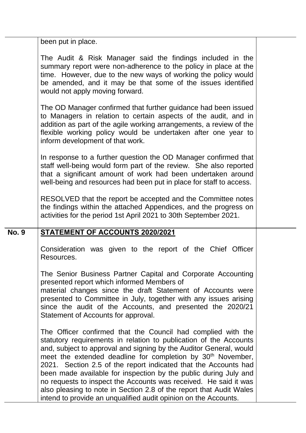|              | been put in place.                                                                                                                                                                                                                                                                                                                                                                                                                                                                                                                                                                                                                      |  |
|--------------|-----------------------------------------------------------------------------------------------------------------------------------------------------------------------------------------------------------------------------------------------------------------------------------------------------------------------------------------------------------------------------------------------------------------------------------------------------------------------------------------------------------------------------------------------------------------------------------------------------------------------------------------|--|
|              | The Audit & Risk Manager said the findings included in the<br>summary report were non-adherence to the policy in place at the<br>time. However, due to the new ways of working the policy would<br>be amended, and it may be that some of the issues identified<br>would not apply moving forward.                                                                                                                                                                                                                                                                                                                                      |  |
|              | The OD Manager confirmed that further guidance had been issued<br>to Managers in relation to certain aspects of the audit, and in<br>addition as part of the agile working arrangements, a review of the<br>flexible working policy would be undertaken after one year to<br>inform development of that work.                                                                                                                                                                                                                                                                                                                           |  |
|              | In response to a further question the OD Manager confirmed that<br>staff well-being would form part of the review. She also reported<br>that a significant amount of work had been undertaken around<br>well-being and resources had been put in place for staff to access.                                                                                                                                                                                                                                                                                                                                                             |  |
|              | RESOLVED that the report be accepted and the Committee notes<br>the findings within the attached Appendices, and the progress on<br>activities for the period 1st April 2021 to 30th September 2021.                                                                                                                                                                                                                                                                                                                                                                                                                                    |  |
| <b>No. 9</b> | <b>STATEMENT OF ACCOUNTS 2020/2021</b>                                                                                                                                                                                                                                                                                                                                                                                                                                                                                                                                                                                                  |  |
|              | Consideration was given to the report of the Chief Officer<br>Resources.                                                                                                                                                                                                                                                                                                                                                                                                                                                                                                                                                                |  |
|              | The Senior Business Partner Capital and Corporate Accounting<br>presented report which informed Members of<br>material changes since the draft Statement of Accounts were<br>presented to Committee in July, together with any issues arising<br>since the audit of the Accounts, and presented the 2020/21<br>Statement of Accounts for approval.                                                                                                                                                                                                                                                                                      |  |
|              | The Officer confirmed that the Council had complied with the<br>statutory requirements in relation to publication of the Accounts<br>and, subject to approval and signing by the Auditor General, would<br>meet the extended deadline for completion by 30 <sup>th</sup> November,<br>2021. Section 2.5 of the report indicated that the Accounts had<br>been made available for inspection by the public during July and<br>no requests to inspect the Accounts was received. He said it was<br>also pleasing to note in Section 2.8 of the report that Audit Wales<br>intend to provide an unqualified audit opinion on the Accounts. |  |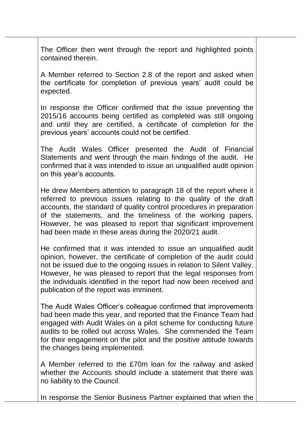The Officer then went through the report and highlighted points contained therein.

A Member referred to Section 2.8 of the report and asked when the certificate for completion of previous years' audit could be expected.

In response the Officer confirmed that the issue preventing the 2015/16 accounts being certified as completed was still ongoing and until they are certified, a certificate of completion for the previous years' accounts could not be certified.

The Audit Wales Officer presented the Audit of Financial Statements and went through the main findings of the audit. He confirmed that it was intended to issue an unqualified audit opinion on this year's accounts.

He drew Members attention to paragraph 18 of the report where it referred to previous issues relating to the quality of the draft accounts, the standard of quality control procedures in preparation of the statements, and the timeliness of the working papers. However, he was pleased to report that significant improvement had been made in these areas during the 2020/21 audit.

He confirmed that it was intended to issue an unqualified audit opinion, however, the certificate of completion of the audit could not be issued due to the ongoing issues in relation to Silent Valley. However, he was pleased to report that the legal responses from the individuals identified in the report had now been received and publication of the report was imminent.

The Audit Wales Officer's colleague confirmed that improvements had been made this year, and reported that the Finance Team had engaged with Audit Wales on a pilot scheme for conducting future audits to be rolled out across Wales. She commended the Team for their engagement on the pilot and the positive attitude towards the changes being implemented.

A Member referred to the £70m loan for the railway and asked whether the Accounts should include a statement that there was no liability to the Council.

In response the Senior Business Partner explained that when the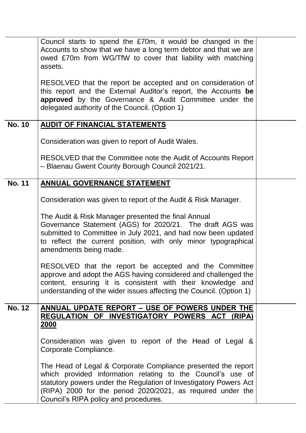|               | Council starts to spend the £70m, it would be changed in the<br>Accounts to show that we have a long term debtor and that we are<br>owed £70m from WG/TfW to cover that liability with matching<br>assets.                                                                                                |  |  |  |  |  |  |
|---------------|-----------------------------------------------------------------------------------------------------------------------------------------------------------------------------------------------------------------------------------------------------------------------------------------------------------|--|--|--|--|--|--|
|               | RESOLVED that the report be accepted and on consideration of<br>this report and the External Auditor's report, the Accounts be<br>approved by the Governance & Audit Committee under the<br>delegated authority of the Council. (Option 1)                                                                |  |  |  |  |  |  |
| <b>No. 10</b> | <b>AUDIT OF FINANCIAL STATEMENTS</b>                                                                                                                                                                                                                                                                      |  |  |  |  |  |  |
|               | Consideration was given to report of Audit Wales.                                                                                                                                                                                                                                                         |  |  |  |  |  |  |
|               | RESOLVED that the Committee note the Audit of Accounts Report<br>- Blaenau Gwent County Borough Council 2021/21.                                                                                                                                                                                          |  |  |  |  |  |  |
| <b>No. 11</b> | ANNUAL GOVERNANCE STATEMENT                                                                                                                                                                                                                                                                               |  |  |  |  |  |  |
|               | Consideration was given to report of the Audit & Risk Manager.                                                                                                                                                                                                                                            |  |  |  |  |  |  |
|               | The Audit & Risk Manager presented the final Annual<br>Governance Statement (AGS) for 2020/21. The draft AGS was<br>submitted to Committee in July 2021, and had now been updated<br>to reflect the current position, with only minor typographical<br>amendments being made.                             |  |  |  |  |  |  |
|               | RESOLVED that the report be accepted and the Committee<br>approve and adopt the AGS having considered and challenged the<br>content, ensuring it is consistent with their knowledge and<br>understanding of the wider issues affecting the Council. (Option 1)                                            |  |  |  |  |  |  |
| <b>No. 12</b> | ANNUAL UPDATE REPORT - USE OF POWERS UNDER THE<br>REGULATION OF INVESTIGATORY POWERS ACT (RIPA)<br>2000                                                                                                                                                                                                   |  |  |  |  |  |  |
|               | Consideration was given to report of the Head of Legal &<br>Corporate Compliance.                                                                                                                                                                                                                         |  |  |  |  |  |  |
|               | The Head of Legal & Corporate Compliance presented the report<br>which provided information relating to the Council's use of<br>statutory powers under the Regulation of Investigatory Powers Act<br>(RIPA) 2000 for the period 2020/2021, as required under the<br>Council's RIPA policy and procedures. |  |  |  |  |  |  |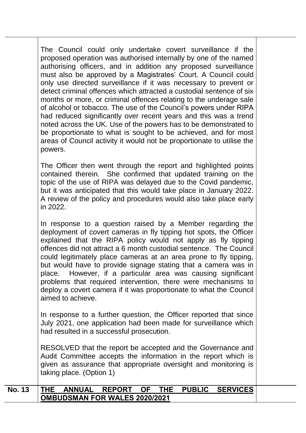The Council could only undertake covert surveillance if the proposed operation was authorised internally by one of the named authorising officers, and in addition any proposed surveillance must also be approved by a Magistrates' Court. A Council could only use directed surveillance if it was necessary to prevent or detect criminal offences which attracted a custodial sentence of six months or more, or criminal offences relating to the underage sale of alcohol or tobacco. The use of the Council's powers under RIPA had reduced significantly over recent years and this was a trend noted across the UK. Use of the powers has to be demonstrated to be proportionate to what is sought to be achieved, and for most areas of Council activity it would not be proportionate to utilise the powers.

The Officer then went through the report and highlighted points contained therein. She confirmed that updated training on the topic of the use of RIPA was delayed due to the Covid pandemic, but it was anticipated that this would take place in January 2022. A review of the policy and procedures would also take place early in 2022.

In response to a question raised by a Member regarding the deployment of covert cameras in fly tipping hot spots, the Officer explained that the RIPA policy would not apply as fly tipping offences did not attract a 6 month custodial sentence. The Council could legitimately place cameras at an area prone to fly tipping, but would have to provide signage stating that a camera was in place. However, if a particular area was causing significant problems that required intervention, there were mechanisms to deploy a covert camera if it was proportionate to what the Council aimed to achieve.

In response to a further question, the Officer reported that since July 2021, one application had been made for surveillance which had resulted in a successful prosecution.

RESOLVED that the report be accepted and the Governance and Audit Committee accepts the information in the report which is given as assurance that appropriate oversight and monitoring is taking place. (Option 1)

| <b>No. 13</b> |                               | <b>THE ANNUAL</b> |  |  |  |  | REPORT OF THE PUBLIC SERVICES |
|---------------|-------------------------------|-------------------|--|--|--|--|-------------------------------|
|               | OMBUDSMAN FOR WALES 2020/2021 |                   |  |  |  |  |                               |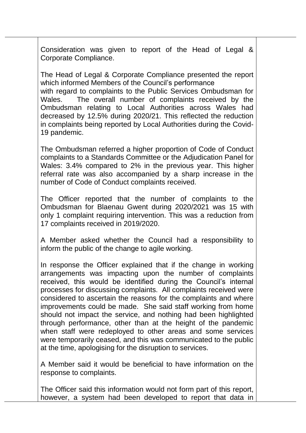Consideration was given to report of the Head of Legal & Corporate Compliance.

The Head of Legal & Corporate Compliance presented the report which informed Members of the Council's performance with regard to complaints to the Public Services Ombudsman for Wales. The overall number of complaints received by the Ombudsman relating to Local Authorities across Wales had decreased by 12.5% during 2020/21. This reflected the reduction in complaints being reported by Local Authorities during the Covid-19 pandemic.

The Ombudsman referred a higher proportion of Code of Conduct complaints to a Standards Committee or the Adjudication Panel for Wales: 3.4% compared to 2% in the previous year. This higher referral rate was also accompanied by a sharp increase in the number of Code of Conduct complaints received.

The Officer reported that the number of complaints to the Ombudsman for Blaenau Gwent during 2020/2021 was 15 with only 1 complaint requiring intervention. This was a reduction from 17 complaints received in 2019/2020.

A Member asked whether the Council had a responsibility to inform the public of the change to agile working.

In response the Officer explained that if the change in working arrangements was impacting upon the number of complaints received, this would be identified during the Council's internal processes for discussing complaints. All complaints received were considered to ascertain the reasons for the complaints and where improvements could be made. She said staff working from home should not impact the service, and nothing had been highlighted through performance, other than at the height of the pandemic when staff were redeployed to other areas and some services were temporarily ceased, and this was communicated to the public at the time, apologising for the disruption to services.

A Member said it would be beneficial to have information on the response to complaints.

The Officer said this information would not form part of this report, however, a system had been developed to report that data in